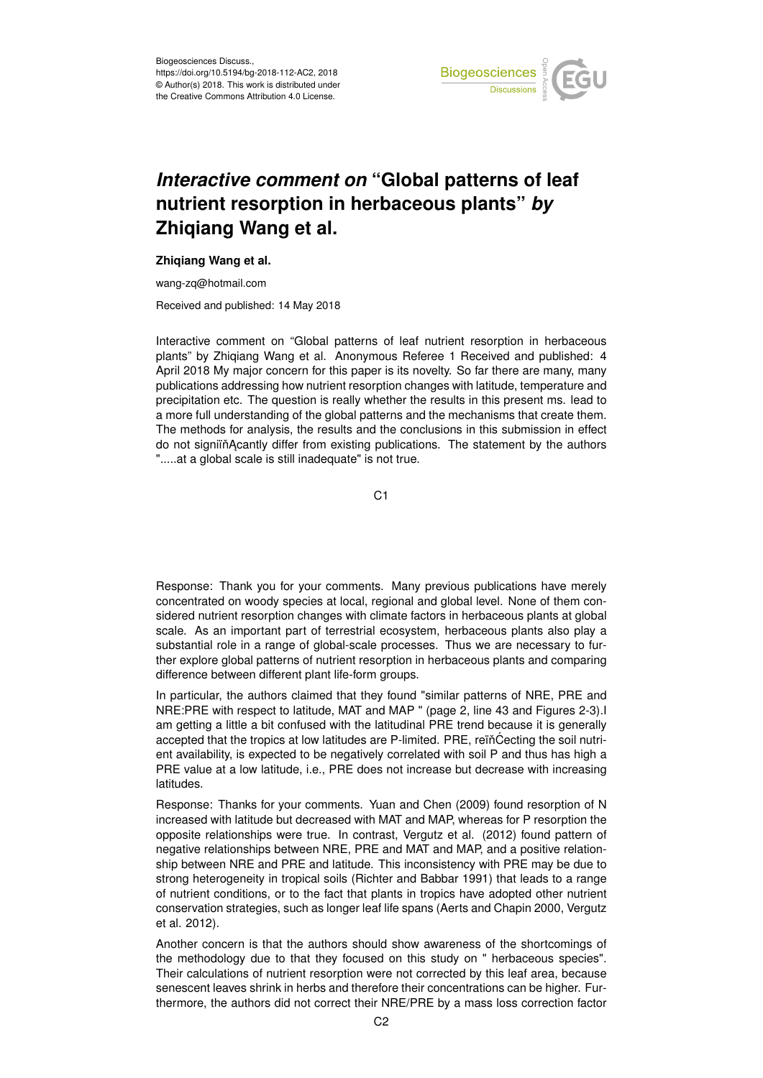

## *Interactive comment on* **"Global patterns of leaf nutrient resorption in herbaceous plants"** *by* **Zhiqiang Wang et al.**

## **Zhiqiang Wang et al.**

wang-zq@hotmail.com

Received and published: 14 May 2018

Interactive comment on "Global patterns of leaf nutrient resorption in herbaceous plants" by Zhiqiang Wang et al. Anonymous Referee 1 Received and published: 4 April 2018 My major concern for this paper is its novelty. So far there are many, many publications addressing how nutrient resorption changes with latitude, temperature and precipitation etc. The question is really whether the results in this present ms. lead to a more full understanding of the global patterns and the mechanisms that create them. The methods for analysis, the results and the conclusions in this submission in effect do not signiin Acantly differ from existing publications. The statement by the authors ".....at a global scale is still inadequate" is not true.

C1

Response: Thank you for your comments. Many previous publications have merely concentrated on woody species at local, regional and global level. None of them considered nutrient resorption changes with climate factors in herbaceous plants at global scale. As an important part of terrestrial ecosystem, herbaceous plants also play a substantial role in a range of global-scale processes. Thus we are necessary to further explore global patterns of nutrient resorption in herbaceous plants and comparing difference between different plant life-form groups.

In particular, the authors claimed that they found "similar patterns of NRE, PRE and NRE:PRE with respect to latitude, MAT and MAP " (page 2, line 43 and Figures 2-3).I am getting a little a bit confused with the latitudinal PRE trend because it is generally accepted that the tropics at low latitudes are P-limited. PRE, reïn̆Cecting the soil nutrient availability, is expected to be negatively correlated with soil P and thus has high a PRE value at a low latitude, i.e., PRE does not increase but decrease with increasing latitudes.

Response: Thanks for your comments. Yuan and Chen (2009) found resorption of N increased with latitude but decreased with MAT and MAP, whereas for P resorption the opposite relationships were true. In contrast, Vergutz et al. (2012) found pattern of negative relationships between NRE, PRE and MAT and MAP, and a positive relationship between NRE and PRE and latitude. This inconsistency with PRE may be due to strong heterogeneity in tropical soils (Richter and Babbar 1991) that leads to a range of nutrient conditions, or to the fact that plants in tropics have adopted other nutrient conservation strategies, such as longer leaf life spans (Aerts and Chapin 2000, Vergutz et al. 2012).

Another concern is that the authors should show awareness of the shortcomings of the methodology due to that they focused on this study on " herbaceous species". Their calculations of nutrient resorption were not corrected by this leaf area, because senescent leaves shrink in herbs and therefore their concentrations can be higher. Furthermore, the authors did not correct their NRE/PRE by a mass loss correction factor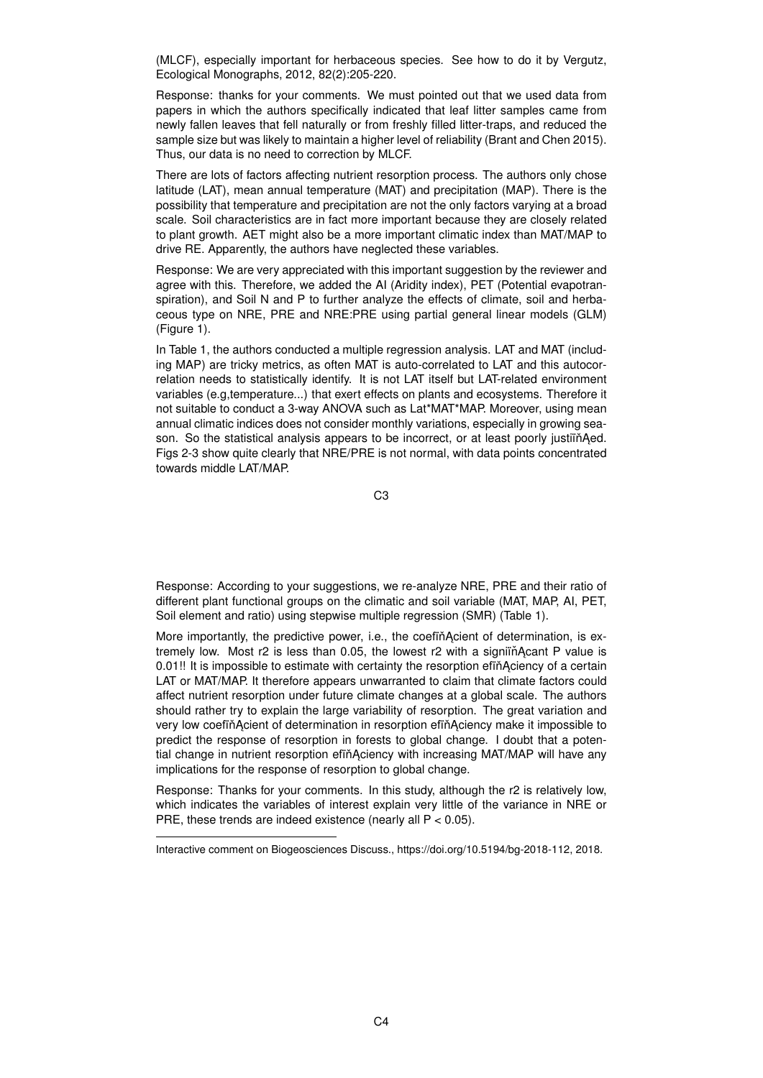(MLCF), especially important for herbaceous species. See how to do it by Vergutz, Ecological Monographs, 2012, 82(2):205-220.

Response: thanks for your comments. We must pointed out that we used data from papers in which the authors specifically indicated that leaf litter samples came from newly fallen leaves that fell naturally or from freshly filled litter-traps, and reduced the sample size but was likely to maintain a higher level of reliability (Brant and Chen 2015). Thus, our data is no need to correction by MLCF.

There are lots of factors affecting nutrient resorption process. The authors only chose latitude (LAT), mean annual temperature (MAT) and precipitation (MAP). There is the possibility that temperature and precipitation are not the only factors varying at a broad scale. Soil characteristics are in fact more important because they are closely related to plant growth. AET might also be a more important climatic index than MAT/MAP to drive RE. Apparently, the authors have neglected these variables.

Response: We are very appreciated with this important suggestion by the reviewer and agree with this. Therefore, we added the AI (Aridity index), PET (Potential evapotranspiration), and Soil N and P to further analyze the effects of climate, soil and herbaceous type on NRE, PRE and NRE:PRE using partial general linear models (GLM) (Figure 1).

In Table 1, the authors conducted a multiple regression analysis. LAT and MAT (including MAP) are tricky metrics, as often MAT is auto-correlated to LAT and this autocorrelation needs to statistically identify. It is not LAT itself but LAT-related environment variables (e.g,temperature...) that exert effects on plants and ecosystems. Therefore it not suitable to conduct a 3-way ANOVA such as Lat\*MAT\*MAP. Moreover, using mean annual climatic indices does not consider monthly variations, especially in growing season. So the statistical analysis appears to be incorrect, or at least poorly justiin Aed. Figs 2-3 show quite clearly that NRE/PRE is not normal, with data points concentrated towards middle LAT/MAP.

C3

Response: According to your suggestions, we re-analyze NRE, PRE and their ratio of different plant functional groups on the climatic and soil variable (MAT, MAP, AI, PET, Soil element and ratio) using stepwise multiple regression (SMR) (Table 1).

More importantly, the predictive power, i.e., the coefin Acient of determination, is extremely low. Most r2 is less than 0.05, the lowest r2 with a signiin Acant P value is 0.01!! It is impossible to estimate with certainty the resorption effinaciency of a certain LAT or MAT/MAP. It therefore appears unwarranted to claim that climate factors could affect nutrient resorption under future climate changes at a global scale. The authors should rather try to explain the large variability of resorption. The great variation and very low coefin Acient of determination in resorption efin Aciency make it impossible to predict the response of resorption in forests to global change. I doubt that a potential change in nutrient resorption efin Aciency with increasing MAT/MAP will have any implications for the response of resorption to global change.

Response: Thanks for your comments. In this study, although the r2 is relatively low, which indicates the variables of interest explain very little of the variance in NRE or PRE, these trends are indeed existence (nearly all P < 0.05).

Interactive comment on Biogeosciences Discuss., https://doi.org/10.5194/bg-2018-112, 2018.